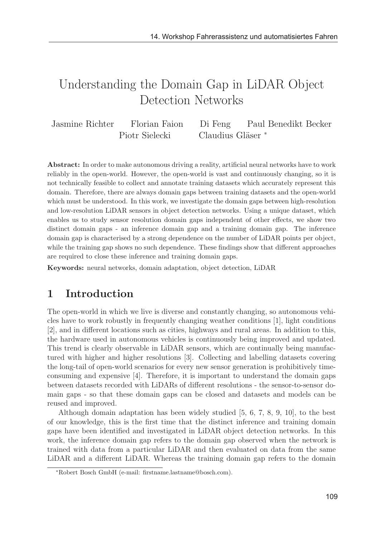# Understanding the Domain Gap in LiDAR Object Detection Networks

Jasmine Richter Florian Faion Di Feng Paul Benedikt Becker Piotr Sielecki Claudius Gläser \*

Abstract: In order to make autonomous driving a reality, artificial neural networks have to work reliably in the open-world. However, the open-world is vast and continuously changing, so it is not technically feasible to collect and annotate training datasets which accurately represent this domain. Therefore, there are always domain gaps between training datasets and the open-world which must be understood. In this work, we investigate the domain gaps between high-resolution and low-resolution LiDAR sensors in object detection networks. Using a unique dataset, which enables us to study sensor resolution domain gaps independent of other effects, we show two distinct domain gaps - an inference domain gap and a training domain gap. The inference domain gap is characterised by a strong dependence on the number of LiDAR points per object, while the training gap shows no such dependence. These findings show that different approaches are required to close these inference and training domain gaps.

Keywords: neural networks, domain adaptation, object detection, LiDAR

### 1 Introduction

The open-world in which we live is diverse and constantly changing, so autonomous vehicles have to work robustly in frequently changing weather conditions [1], light conditions [2], and in different locations such as cities, highways and rural areas. In addition to this, the hardware used in autonomous vehicles is continuously being improved and updated. This trend is clearly observable in LiDAR sensors, which are continually being manufactured with higher and higher resolutions [3]. Collecting and labelling datasets covering the long-tail of open-world scenarios for every new sensor generation is prohibitively timeconsuming and expensive [4]. Therefore, it is important to understand the domain gaps between datasets recorded with LiDARs of different resolutions - the sensor-to-sensor domain gaps - so that these domain gaps can be closed and datasets and models can be reused and improved.

Although domain adaptation has been widely studied [5, 6, 7, 8, 9, 10], to the best of our knowledge, this is the first time that the distinct inference and training domain gaps have been identified and investigated in LiDAR object detection networks. In this work, the inference domain gap refers to the domain gap observed when the network is trained with data from a particular LiDAR and then evaluated on data from the same LiDAR and a different LiDAR. Whereas the training domain gap refers to the domain

<sup>∗</sup>Robert Bosch GmbH (e-mail: firstname.lastname@bosch.com).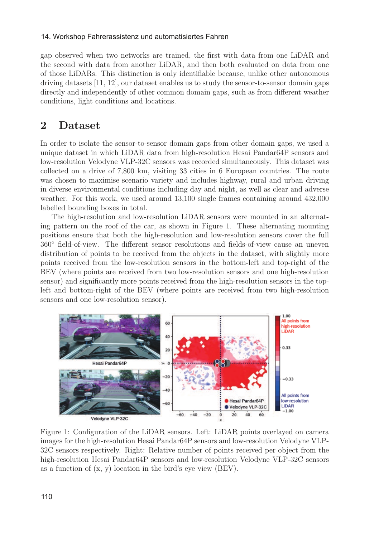gap observed when two networks are trained, the first with data from one LiDAR and the second with data from another LiDAR, and then both evaluated on data from one of those LiDARs. This distinction is only identifiable because, unlike other autonomous driving datasets [11, 12], our dataset enables us to study the sensor-to-sensor domain gaps directly and independently of other common domain gaps, such as from different weather conditions, light conditions and locations.

## 2 Dataset

In order to isolate the sensor-to-sensor domain gaps from other domain gaps, we used a unique dataset in which LiDAR data from high-resolution Hesai Pandar64P sensors and low-resolution Velodyne VLP-32C sensors was recorded simultaneously. This dataset was collected on a drive of 7,800 km, visiting 33 cities in 6 European countries. The route was chosen to maximise scenario variety and includes highway, rural and urban driving in diverse environmental conditions including day and night, as well as clear and adverse weather. For this work, we used around 13,100 single frames containing around 432,000 labelled bounding boxes in total.

The high-resolution and low-resolution LiDAR sensors were mounted in an alternating pattern on the roof of the car, as shown in Figure 1. These alternating mounting positions ensure that both the high-resolution and low-resolution sensors cover the full 360◦ field-of-view. The different sensor resolutions and fields-of-view cause an uneven distribution of points to be received from the objects in the dataset, with slightly more points received from the low-resolution sensors in the bottom-left and top-right of the BEV (where points are received from two low-resolution sensors and one high-resolution sensor) and significantly more points received from the high-resolution sensors in the topleft and bottom-right of the BEV (where points are received from two high-resolution sensors and one low-resolution sensor).



Figure 1: Configuration of the LiDAR sensors. Left: LiDAR points overlayed on camera images for the high-resolution Hesai Pandar64P sensors and low-resolution Velodyne VLP-32C sensors respectively. Right: Relative number of points received per object from the high-resolution Hesai Pandar64P sensors and low-resolution Velodyne VLP-32C sensors as a function of  $(x, y)$  location in the bird's eye view  $(BEV)$ .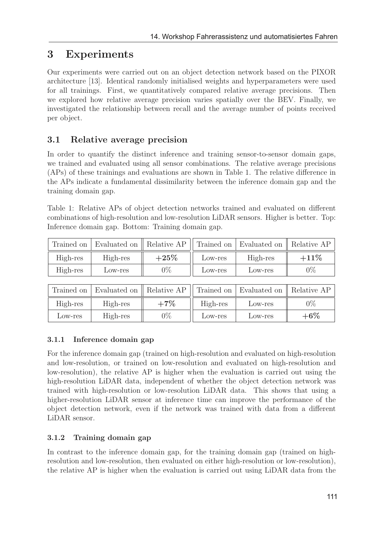# 3 Experiments

Our experiments were carried out on an object detection network based on the PIXOR architecture [13]. Identical randomly initialised weights and hyperparameters were used for all trainings. First, we quantitatively compared relative average precisions. Then we explored how relative average precision varies spatially over the BEV. Finally, we investigated the relationship between recall and the average number of points received per object.

## 3.1 Relative average precision

In order to quantify the distinct inference and training sensor-to-sensor domain gaps, we trained and evaluated using all sensor combinations. The relative average precisions (APs) of these trainings and evaluations are shown in Table 1. The relative difference in the APs indicate a fundamental dissimilarity between the inference domain gap and the training domain gap.

Table 1: Relative APs of object detection networks trained and evaluated on different combinations of high-resolution and low-resolution LiDAR sensors. Higher is better. Top: Inference domain gap. Bottom: Training domain gap.

| $+25%$<br>$+11\%$<br>High-res<br>High-res<br>High-res<br>Low-res |          | Trained on   Evaluated on    Relative AP |       |         | Trained on Evaluated on Relative AP |       |
|------------------------------------------------------------------|----------|------------------------------------------|-------|---------|-------------------------------------|-------|
|                                                                  |          |                                          |       |         |                                     |       |
|                                                                  | High-res | Low-res                                  | $0\%$ | Low-res | Low-res                             | $0\%$ |

| Trained on | Evaluated on    Relative AP |        |          | Trained on Evaluated on Relative AP |        |
|------------|-----------------------------|--------|----------|-------------------------------------|--------|
| High-res   | High-res                    | $+7\%$ | High-res | Low-res                             | $0\%$  |
| Low-res    | High-res                    | $0\%$  | Low-res  | Low-res                             | $+6\%$ |

### 3.1.1 Inference domain gap

For the inference domain gap (trained on high-resolution and evaluated on high-resolution and low-resolution, or trained on low-resolution and evaluated on high-resolution and low-resolution), the relative AP is higher when the evaluation is carried out using the high-resolution LiDAR data, independent of whether the object detection network was trained with high-resolution or low-resolution LiDAR data. This shows that using a higher-resolution LiDAR sensor at inference time can improve the performance of the object detection network, even if the network was trained with data from a different LiDAR sensor.

### 3.1.2 Training domain gap

In contrast to the inference domain gap, for the training domain gap (trained on highresolution and low-resolution, then evaluated on either high-resolution or low-resolution), the relative AP is higher when the evaluation is carried out using LiDAR data from the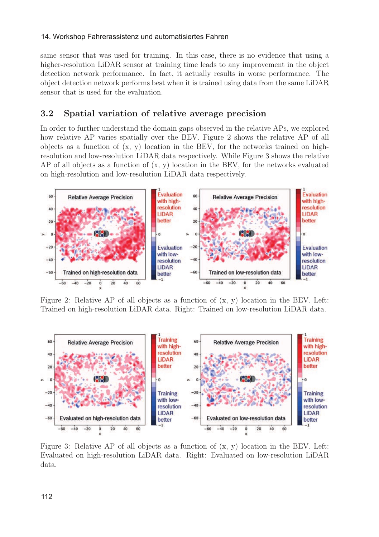same sensor that was used for training. In this case, there is no evidence that using a higher-resolution LiDAR sensor at training time leads to any improvement in the object detection network performance. In fact, it actually results in worse performance. The object detection network performs best when it is trained using data from the same LiDAR sensor that is used for the evaluation.

### 3.2 Spatial variation of relative average precision

In order to further understand the domain gaps observed in the relative APs, we explored how relative AP varies spatially over the BEV. Figure 2 shows the relative AP of all objects as a function of  $(x, y)$  location in the BEV, for the networks trained on highresolution and low-resolution LiDAR data respectively. While Figure 3 shows the relative AP of all objects as a function of  $(x, y)$  location in the BEV, for the networks evaluated on high-resolution and low-resolution LiDAR data respectively.



Figure 2: Relative AP of all objects as a function of  $(x, y)$  location in the BEV. Left: Trained on high-resolution LiDAR data. Right: Trained on low-resolution LiDAR data.



Figure 3: Relative AP of all objects as a function of  $(x, y)$  location in the BEV. Left: Evaluated on high-resolution LiDAR data. Right: Evaluated on low-resolution LiDAR data.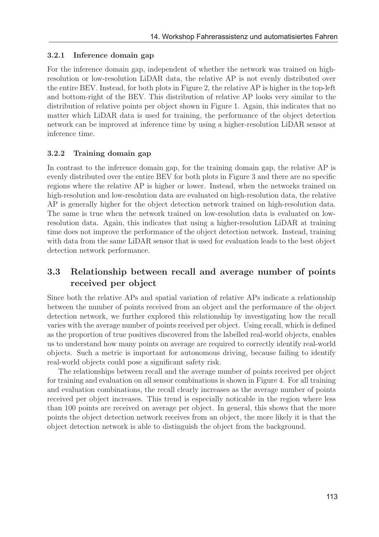#### 3.2.1 Inference domain gap

For the inference domain gap, independent of whether the network was trained on highresolution or low-resolution LiDAR data, the relative AP is not evenly distributed over the entire BEV. Instead, for both plots in Figure 2, the relative AP is higher in the top-left and bottom-right of the BEV. This distribution of relative AP looks very similar to the distribution of relative points per object shown in Figure 1. Again, this indicates that no matter which LiDAR data is used for training, the performance of the object detection network can be improved at inference time by using a higher-resolution LiDAR sensor at inference time.

#### 3.2.2 Training domain gap

In contrast to the inference domain gap, for the training domain gap, the relative AP is evenly distributed over the entire BEV for both plots in Figure 3 and there are no specific regions where the relative AP is higher or lower. Instead, when the networks trained on high-resolution and low-resolution data are evaluated on high-resolution data, the relative AP is generally higher for the object detection network trained on high-resolution data. The same is true when the network trained on low-resolution data is evaluated on lowresolution data. Again, this indicates that using a higher-resolution LiDAR at training time does not improve the performance of the object detection network. Instead, training with data from the same LiDAR sensor that is used for evaluation leads to the best object detection network performance.

### 3.3 Relationship between recall and average number of points received per object

Since both the relative APs and spatial variation of relative APs indicate a relationship between the number of points received from an object and the performance of the object detection network, we further explored this relationship by investigating how the recall varies with the average number of points received per object. Using recall, which is defined as the proportion of true positives discovered from the labelled real-world objects, enables us to understand how many points on average are required to correctly identify real-world objects. Such a metric is important for autonomous driving, because failing to identify real-world objects could pose a significant safety risk.

The relationships between recall and the average number of points received per object for training and evaluation on all sensor combinations is shown in Figure 4. For all training and evaluation combinations, the recall clearly increases as the average number of points received per object increases. This trend is especially noticable in the region where less than 100 points are received on average per object. In general, this shows that the more points the object detection network receives from an object, the more likely it is that the object detection network is able to distinguish the object from the background.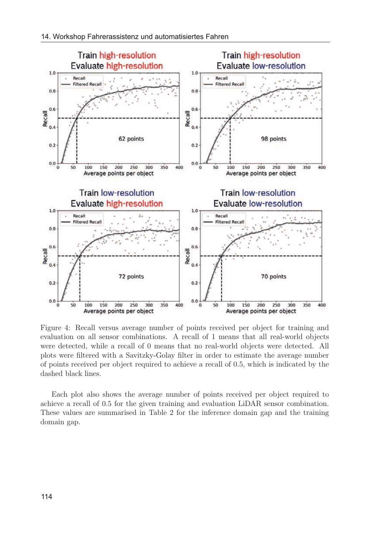

Figure 4: Recall versus average number of points received per object for training and evaluation on all sensor combinations. A recall of 1 means that all real-world objects were detected, while a recall of 0 means that no real-world objects were detected. All plots were filtered with a Savitzky-Golay filter in order to estimate the average number of points received per object required to achieve a recall of 0.5, which is indicated by the dashed black lines.

Each plot also shows the average number of points received per object required to achieve a recall of 0.5 for the given training and evaluation LiDAR sensor combination. These values are summarised in Table 2 for the inference domain gap and the training domain gap.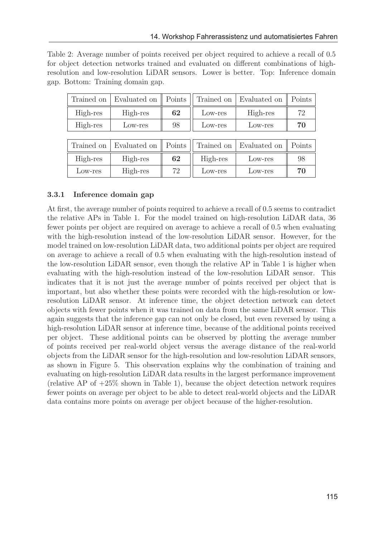Table 2: Average number of points received per object required to achieve a recall of 0.5 for object detection networks trained and evaluated on different combinations of highresolution and low-resolution LiDAR sensors. Lower is better. Top: Inference domain gap. Bottom: Training domain gap.

| Trained on | Evaluated on | Points | Trained on | Evaluated on | Points |
|------------|--------------|--------|------------|--------------|--------|
| High-res   | High-res     | 62     | Low-res    | High-res     | 72     |
| High-res   | Low-res      | 98     | Low-res    | Low-res      | 70     |
|            |              |        |            |              |        |
| Trained on | Evaluated on | Points | Trained on | Evaluated on | Points |
| High-res   | High-res     | 62     | High-res   | Low-res      | 98     |
| Low-res    | High-res     | 72     | Low-res    | Low-res      | 70     |

#### 3.3.1 Inference domain gap

At first, the average number of points required to achieve a recall of 0.5 seems to contradict the relative APs in Table 1. For the model trained on high-resolution LiDAR data, 36 fewer points per object are required on average to achieve a recall of 0.5 when evaluating with the high-resolution instead of the low-resolution LiDAR sensor. However, for the model trained on low-resolution LiDAR data, two additional points per object are required on average to achieve a recall of 0.5 when evaluating with the high-resolution instead of the low-resolution LiDAR sensor, even though the relative AP in Table 1 is higher when evaluating with the high-resolution instead of the low-resolution LiDAR sensor. This indicates that it is not just the average number of points received per object that is important, but also whether these points were recorded with the high-resolution or lowresolution LiDAR sensor. At inference time, the object detection network can detect objects with fewer points when it was trained on data from the same LiDAR sensor. This again suggests that the inference gap can not only be closed, but even reversed by using a high-resolution LiDAR sensor at inference time, because of the additional points received per object. These additional points can be observed by plotting the average number of points received per real-world object versus the average distance of the real-world objects from the LiDAR sensor for the high-resolution and low-resolution LiDAR sensors, as shown in Figure 5. This observation explains why the combination of training and evaluating on high-resolution LiDAR data results in the largest performance improvement (relative AP of +25% shown in Table 1), because the object detection network requires fewer points on average per object to be able to detect real-world objects and the LiDAR data contains more points on average per object because of the higher-resolution.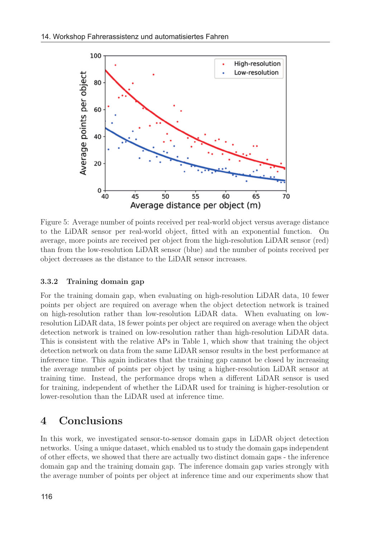

Figure 5: Average number of points received per real-world object versus average distance to the LiDAR sensor per real-world object, fitted with an exponential function. On average, more points are received per object from the high-resolution LiDAR sensor (red) than from the low-resolution LiDAR sensor (blue) and the number of points received per object decreases as the distance to the LiDAR sensor increases.

#### 3.3.2 Training domain gap

For the training domain gap, when evaluating on high-resolution LiDAR data, 10 fewer points per object are required on average when the object detection network is trained on high-resolution rather than low-resolution LiDAR data. When evaluating on lowresolution LiDAR data, 18 fewer points per object are required on average when the object detection network is trained on low-resolution rather than high-resolution LiDAR data. This is consistent with the relative APs in Table 1, which show that training the object detection network on data from the same LiDAR sensor results in the best performance at inference time. This again indicates that the training gap cannot be closed by increasing the average number of points per object by using a higher-resolution LiDAR sensor at training time. Instead, the performance drops when a different LiDAR sensor is used for training, independent of whether the LiDAR used for training is higher-resolution or lower-resolution than the LiDAR used at inference time.

## 4 Conclusions

In this work, we investigated sensor-to-sensor domain gaps in LiDAR object detection networks. Using a unique dataset, which enabled us to study the domain gaps independent of other effects, we showed that there are actually two distinct domain gaps - the inference domain gap and the training domain gap. The inference domain gap varies strongly with the average number of points per object at inference time and our experiments show that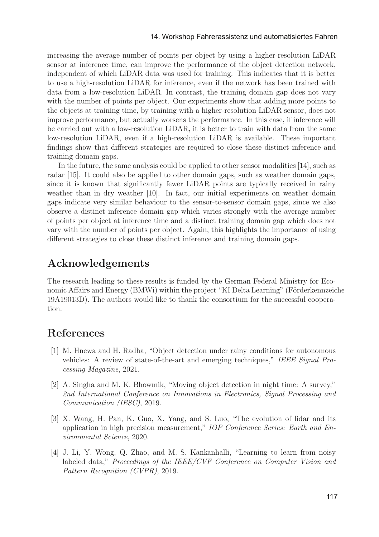increasing the average number of points per object by using a higher-resolution LiDAR sensor at inference time, can improve the performance of the object detection network, independent of which LiDAR data was used for training. This indicates that it is better to use a high-resolution LiDAR for inference, even if the network has been trained with data from a low-resolution LiDAR. In contrast, the training domain gap does not vary with the number of points per object. Our experiments show that adding more points to the objects at training time, by training with a higher-resolution LiDAR sensor, does not improve performance, but actually worsens the performance. In this case, if inference will be carried out with a low-resolution LiDAR, it is better to train with data from the same low-resolution LiDAR, even if a high-resolution LiDAR is available. These important findings show that different strategies are required to close these distinct inference and training domain gaps.

In the future, the same analysis could be applied to other sensor modalities [14], such as radar [15]. It could also be applied to other domain gaps, such as weather domain gaps, since it is known that significantly fewer LiDAR points are typically received in rainy weather than in dry weather [10]. In fact, our initial experiments on weather domain gaps indicate very similar behaviour to the sensor-to-sensor domain gaps, since we also observe a distinct inference domain gap which varies strongly with the average number of points per object at inference time and a distinct training domain gap which does not vary with the number of points per object. Again, this highlights the importance of using different strategies to close these distinct inference and training domain gaps.

### Acknowledgements

The research leading to these results is funded by the German Federal Ministry for Economic Affairs and Energy (BMWi) within the project "KI Delta Learning" (Förderkennzeichen 19A19013D). The authors would like to thank the consortium for the successful cooperation.

# References

- [1] M. Hnewa and H. Radha, "Object detection under rainy conditions for autonomous vehicles: A review of state-of-the-art and emerging techniques," IEEE Signal Processing Magazine, 2021.
- [2] A. Singha and M. K. Bhowmik, "Moving object detection in night time: A survey," 2nd International Conference on Innovations in Electronics, Signal Processing and Communication (IESC), 2019.
- [3] X. Wang, H. Pan, K. Guo, X. Yang, and S. Luo, "The evolution of lidar and its application in high precision measurement," IOP Conference Series: Earth and Environmental Science, 2020.
- [4] J. Li, Y. Wong, Q. Zhao, and M. S. Kankanhalli, "Learning to learn from noisy labeled data," Proceedings of the IEEE/CVF Conference on Computer Vision and Pattern Recognition (CVPR), 2019.